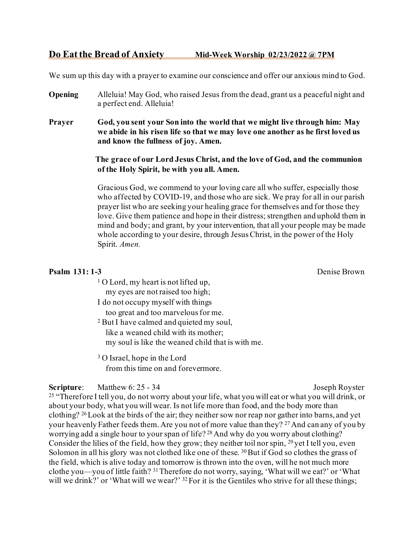# **Do Eat the Bread of Anxiety Mid-Week Worship 02/23/2022 @ 7PM**

We sum up this day with a prayer to examine our conscience and offer our anxious mind to God.

- **Opening** Alleluia! May God, who raised Jesus from the dead, grant us a peaceful night and a perfect end. Alleluia!
- **Prayer God, you sent your Son into the world that we might live through him: May we abide in his risen life so that we may love one another as he first loved us and know the fullness of joy. Amen.**

 **The grace of our Lord Jesus Christ, and the love of God, and the communion of the Holy Spirit, be with you all. Amen.**

 Gracious God, we commend to your loving care all who suffer, especially those who affected by COVID-19, and those who are sick. We pray for all in our parish prayer list who are seeking your healing grace for themselves and for those they love. Give them patience and hope in their distress; strengthen and uphold them in mind and body; and grant, by your intervention, that all your people may be made whole according to your desire, through Jesus Christ, in the power of the Holy Spirit. *Amen.*

#### **Psalm 131:1-3** Denise Brown

- $1$  O Lord, my heart is not lifted up, my eyes are not raised too high;
- I do not occupy myself with things
	- too great and too marvelous for me.
- <sup>2</sup> But I have calmed and quieted my soul, like a weaned child with its mother; my soul is like the weaned child that is with me.
- <sup>3</sup> O Israel, hope in the Lord from this time on and forevermore.

**Scripture:** Matthew 6: 25 - 34<br><sup>25</sup> "Therefore I tell you, do not worry about your life, what you will eat or what you will drink, or about your body, what you will wear. Is not life more than food, and the body more than clothing? 26Look at the birds of the air; they neither sow nor reap nor gather into barns, and yet your heavenly Father feeds them. Are you not of more value than they? <sup>27</sup> And can any of you by worrying add a single hour to your span of life? <sup>28</sup> And why do you worry about clothing? Consider the lilies of the field, how they grow; they neither toil nor spin, 29 yet I tell you, even Solomon in all his glory was not clothed like one of these. <sup>30</sup> But if God so clothes the grass of the field, which is alive today and tomorrow is thrown into the oven, will he not much more clothe you—you of little faith? 31Therefore do not worry, saying, 'What will we eat?' or 'What will we drink?' or 'What will we wear?' <sup>32</sup> For it is the Gentiles who strive for all these things;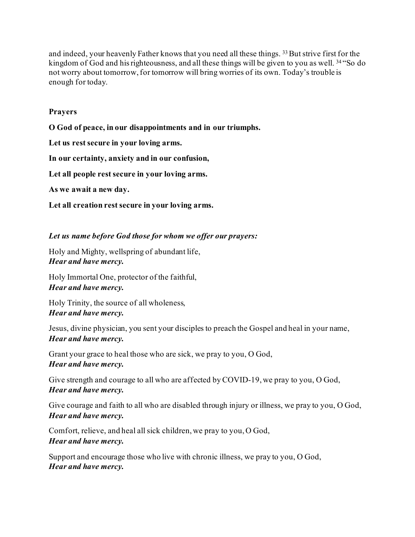and indeed, your heavenly Father knows that you need all these things. 33 But strive first for the kingdom of God and hisrighteousness, and all these things will be given to you as well. <sup>34</sup> "So do not worry about tomorrow, for tomorrow will bring worries of its own. Today's trouble is enough for today.

## **Prayers**

**O God of peace, in our disappointments and in our triumphs.**

**Let us rest secure in your loving arms.**

**In our certainty, anxiety and in our confusion,**

**Let all people rest secure in your loving arms.**

**As we await a new day.**

**Let all creation rest secure in your loving arms.** 

### *Let us name before God those for whom we offer our prayers:*

Holy and Mighty, wellspring of abundant life, *Hear and have mercy.*

Holy Immortal One, protector of the faithful, *Hear and have mercy.*

Holy Trinity, the source of all wholeness, *Hear and have mercy.*

Jesus, divine physician, you sent your disciples to preach the Gospel and heal in your name, *Hear and have mercy.*

Grant your grace to heal those who are sick, we pray to you, O God, *Hear and have mercy.*

Give strength and courage to all who are affected by COVID-19, we pray to you, O God, *Hear and have mercy.*

Give courage and faith to all who are disabled through injury or illness, we pray to you, O God, *Hear and have mercy.*

Comfort, relieve, and heal all sick children, we pray to you, O God, *Hear and have mercy.*

Support and encourage those who live with chronic illness, we pray to you, O God, *Hear and have mercy.*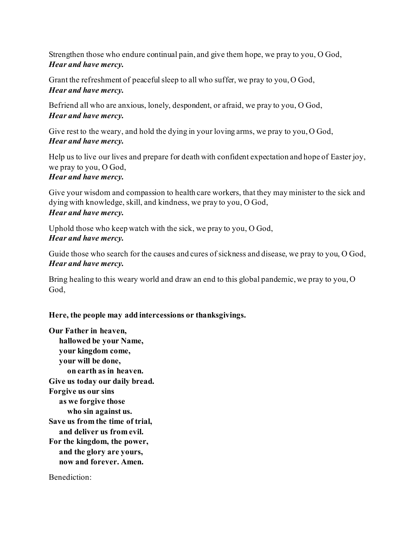Strengthen those who endure continual pain, and give them hope, we pray to you, O God, *Hear and have mercy.*

Grant the refreshment of peaceful sleep to all who suffer, we pray to you, O God, *Hear and have mercy.*

Befriend all who are anxious, lonely, despondent, or afraid, we pray to you, O God, *Hear and have mercy.*

Give rest to the weary, and hold the dying in your loving arms, we pray to you, O God, *Hear and have mercy.*

Help us to live our lives and prepare for death with confident expectation and hope of Easter joy, we pray to you, O God, *Hear and have mercy.*

Give your wisdom and compassion to health care workers, that they may minister to the sick and dying with knowledge, skill, and kindness, we pray to you, O God, *Hear and have mercy.*

Uphold those who keep watch with the sick, we pray to you, O God, *Hear and have mercy.*

Guide those who search for the causes and cures of sickness and disease, we pray to you, O God, *Hear and have mercy.*

Bring healing to this weary world and draw an end to this global pandemic, we pray to you, O God,

**Here, the people may add intercessions or thanksgivings.**

**Our Father in heaven, hallowed be your Name, your kingdom come, your will be done, on earth as in heaven. Give us today our daily bread. Forgive us our sins as we forgive those who sin against us. Save us from the time of trial, and deliver us from evil. For the kingdom, the power, and the glory are yours, now and forever. Amen.**

Benediction: